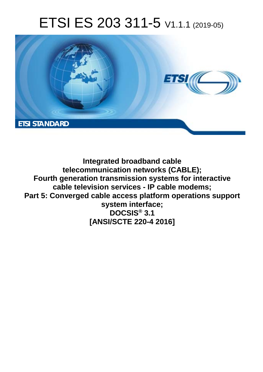# ETSI ES 203 311-5 V1.1.1 (2019-05)



**Integrated broadband cable telecommunication networks (CABLE); Fourth generation transmission systems for interactive cable television services - IP cable modems; Part 5: Converged cable access platform operations support system interface; DOCSIS® 3.1 [ANSI/SCTE 220-4 2016]**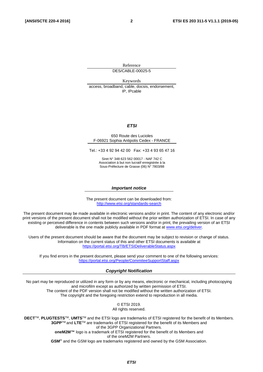Reference DES/CABLE-00025-5

Keywords access, broadband, cable, docsis, endorsement, IP, IPcable

#### *ETSI*

#### 650 Route des Lucioles F-06921 Sophia Antipolis Cedex - FRANCE

Tel.: +33 4 92 94 42 00 Fax: +33 4 93 65 47 16

Siret N° 348 623 562 00017 - NAF 742 C Association à but non lucratif enregistrée à la Sous-Préfecture de Grasse (06) N° 7803/88

#### *Important notice*

The present document can be downloaded from: <http://www.etsi.org/standards-search>

The present document may be made available in electronic versions and/or in print. The content of any electronic and/or print versions of the present document shall not be modified without the prior written authorization of ETSI. In case of any existing or perceived difference in contents between such versions and/or in print, the prevailing version of an ETSI deliverable is the one made publicly available in PDF format at [www.etsi.org/deliver](http://www.etsi.org/deliver).

Users of the present document should be aware that the document may be subject to revision or change of status. Information on the current status of this and other ETSI documents is available at <https://portal.etsi.org/TB/ETSIDeliverableStatus.aspx>

If you find errors in the present document, please send your comment to one of the following services: <https://portal.etsi.org/People/CommiteeSupportStaff.aspx>

#### *Copyright Notification*

No part may be reproduced or utilized in any form or by any means, electronic or mechanical, including photocopying and microfilm except as authorized by written permission of ETSI. The content of the PDF version shall not be modified without the written authorization of ETSI. The copyright and the foregoing restriction extend to reproduction in all media.

> © ETSI 2019. All rights reserved.

**DECT**TM, **PLUGTESTS**TM, **UMTS**TM and the ETSI logo are trademarks of ETSI registered for the benefit of its Members. **3GPP**TM and **LTE**TM are trademarks of ETSI registered for the benefit of its Members and of the 3GPP Organizational Partners. **oneM2M™** logo is a trademark of ETSI registered for the benefit of its Members and of the oneM2M Partners. **GSM**® and the GSM logo are trademarks registered and owned by the GSM Association.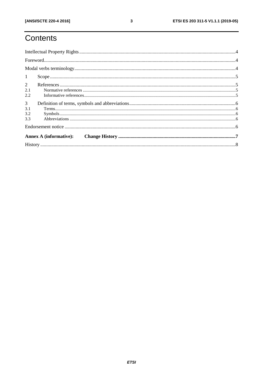# Contents

| 1              |  |  |  |  |  |
|----------------|--|--|--|--|--|
| $\overline{2}$ |  |  |  |  |  |
| 2.1            |  |  |  |  |  |
| 2.2            |  |  |  |  |  |
| $\mathfrak{Z}$ |  |  |  |  |  |
| 3.1            |  |  |  |  |  |
| 3.2            |  |  |  |  |  |
| 3.3            |  |  |  |  |  |
|                |  |  |  |  |  |
|                |  |  |  |  |  |
|                |  |  |  |  |  |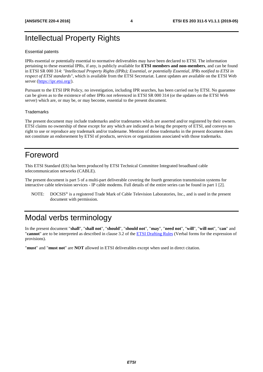### <span id="page-3-0"></span>Intellectual Property Rights

#### Essential patents

IPRs essential or potentially essential to normative deliverables may have been declared to ETSI. The information pertaining to these essential IPRs, if any, is publicly available for **ETSI members and non-members**, and can be found in ETSI SR 000 314: *"Intellectual Property Rights (IPRs); Essential, or potentially Essential, IPRs notified to ETSI in respect of ETSI standards"*, which is available from the ETSI Secretariat. Latest updates are available on the ETSI Web server ([https://ipr.etsi.org/\)](https://ipr.etsi.org/).

Pursuant to the ETSI IPR Policy, no investigation, including IPR searches, has been carried out by ETSI. No guarantee can be given as to the existence of other IPRs not referenced in ETSI SR 000 314 (or the updates on the ETSI Web server) which are, or may be, or may become, essential to the present document.

#### **Trademarks**

The present document may include trademarks and/or tradenames which are asserted and/or registered by their owners. ETSI claims no ownership of these except for any which are indicated as being the property of ETSI, and conveys no right to use or reproduce any trademark and/or tradename. Mention of those trademarks in the present document does not constitute an endorsement by ETSI of products, services or organizations associated with those trademarks.

#### Foreword

This ETSI Standard (ES) has been produced by ETSI Technical Committee Integrated broadband cable telecommunication networks (CABLE).

The present document is part 5 of a multi-part deliverable covering the fourth generation transmission systems for interactive cable television services - IP cable modems. Full details of the entire series can be found in part 1 [\[2](#page-4-0)].

NOTE: DOCSIS® is a registered Trade Mark of Cable Television Laboratories, Inc., and is used in the present document with permission.

### Modal verbs terminology

In the present document "**shall**", "**shall not**", "**should**", "**should not**", "**may**", "**need not**", "**will**", "**will not**", "**can**" and "**cannot**" are to be interpreted as described in clause 3.2 of the [ETSI Drafting Rules](https://portal.etsi.org/Services/editHelp!/Howtostart/ETSIDraftingRules.aspx) (Verbal forms for the expression of provisions).

"**must**" and "**must not**" are **NOT** allowed in ETSI deliverables except when used in direct citation.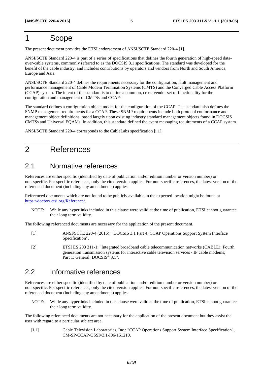### <span id="page-4-0"></span>1 Scope

The present document provides the ETSI endorsement of ANSI/SCTE Standard 220-4 [1].

ANSI/SCTE Standard 220-4 is part of a series of specifications that defines the fourth generation of high-speed dataover-cable systems, commonly referred to as the DOCSIS 3.1 specifications. The standard was developed for the benefit of the cable industry, and includes contributions by operators and vendors from North and South America, Europe and Asia.

ANSI/SCTE Standard 220-4 defines the requirements necessary for the configuration, fault management and performance management of Cable Modem Termination Systems (CMTS) and the Converged Cable Access Platform (CCAP) system. The intent of the standard is to define a common, cross-vendor set of functionality for the configuration and management of CMTSs and CCAPs.

The standard defines a configuration object model for the configuration of the CCAP. The standard also defines the SNMP management requirements for a CCAP. These SNMP requirements include both protocol conformance and management object definitions, based largely upon existing industry standard management objects found in DOCSIS CMTSs and Universal EQAMs. In addition, this standard defined the event messaging requirements of a CCAP system.

ANSI/SCTE Standard 220-4 corresponds to the CableLabs specification [i.1].

### 2 References

#### 2.1 Normative references

References are either specific (identified by date of publication and/or edition number or version number) or non-specific. For specific references, only the cited version applies. For non-specific references, the latest version of the referenced document (including any amendments) applies.

Referenced documents which are not found to be publicly available in the expected location might be found at <https://docbox.etsi.org/Reference/>.

NOTE: While any hyperlinks included in this clause were valid at the time of publication, ETSI cannot guarantee their long term validity.

The following referenced documents are necessary for the application of the present document.

- [1] ANSI/SCTE 220-4 (2016): "DOCSIS 3.1 Part 4: CCAP Operations Support System Interface Specification".
- [2] ETSI ES 203 311-1: "Integrated broadband cable telecommunication networks (CABLE); Fourth generation transmission systems for interactive cable television services - IP cable modems; Part 1: General; DOCSIS® 3.1".

#### 2.2 Informative references

References are either specific (identified by date of publication and/or edition number or version number) or non-specific. For specific references, only the cited version applies. For non-specific references, the latest version of the referenced document (including any amendments) applies.

NOTE: While any hyperlinks included in this clause were valid at the time of publication, ETSI cannot guarantee their long term validity.

The following referenced documents are not necessary for the application of the present document but they assist the user with regard to a particular subject area.

[i.1] Cable Television Laboratories, Inc.: "CCAP Operations Support System Interface Specification", CM-SP-CCAP-OSSIv3.1-I06-151210.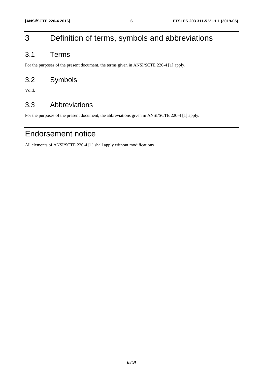## <span id="page-5-0"></span>3 Definition of terms, symbols and abbreviations

### 3.1 Terms

For the purposes of the present document, the terms given in ANSI/SCTE 220-4 [[1\]](#page-4-0) apply.

### 3.2 Symbols

Void.

### 3.3 Abbreviations

For the purposes of the present document, the abbreviations given in ANSI/SCTE 220-4 [\[1](#page-4-0)] apply.

### Endorsement notice

All elements of ANSI/SCTE 220-4 [\[1](#page-4-0)] shall apply without modifications.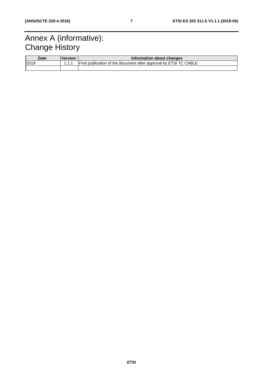# <span id="page-6-0"></span>Annex A (informative): **Change History**

| <b>Date</b> | <u> Version</u> | Information about changes                                         |  |
|-------------|-----------------|-------------------------------------------------------------------|--|
| 2019        | 111             | First publication of the document after approval by ETSI TC CABLE |  |
|             |                 |                                                                   |  |